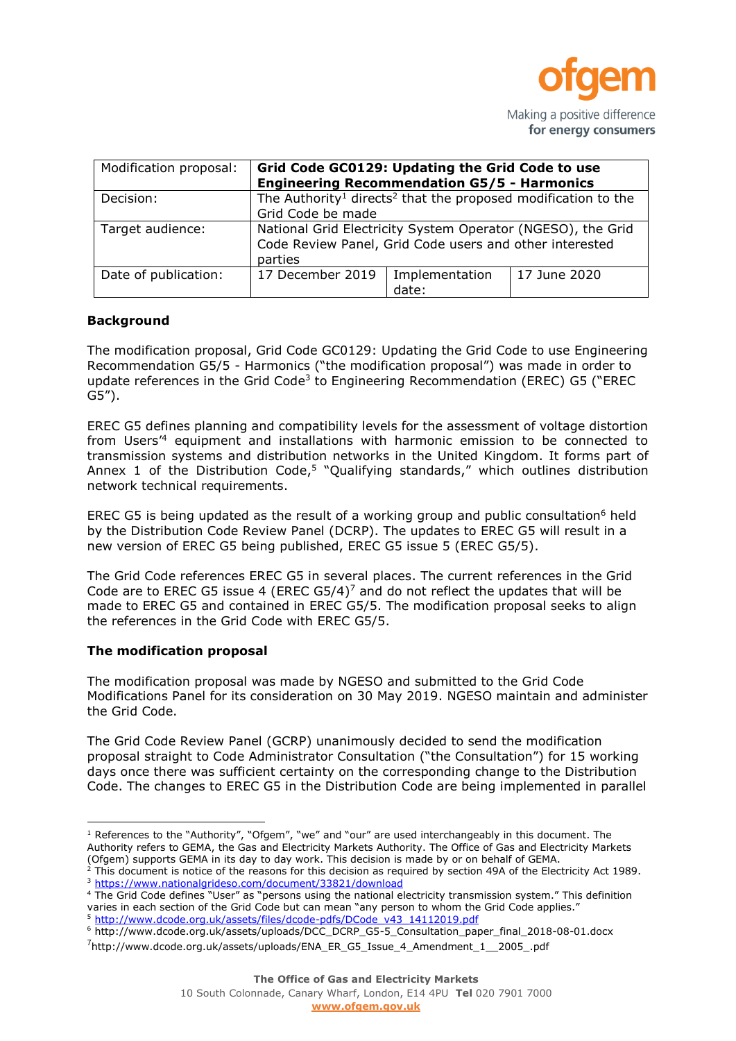

Making a positive difference for energy consumers

| Modification proposal: | Grid Code GC0129: Updating the Grid Code to use<br><b>Engineering Recommendation G5/5 - Harmonics</b>                             |                         |              |
|------------------------|-----------------------------------------------------------------------------------------------------------------------------------|-------------------------|--------------|
| Decision:              | The Authority <sup>1</sup> directs <sup>2</sup> that the proposed modification to the<br>Grid Code be made                        |                         |              |
| Target audience:       | National Grid Electricity System Operator (NGESO), the Grid<br>Code Review Panel, Grid Code users and other interested<br>parties |                         |              |
| Date of publication:   | 17 December 2019                                                                                                                  | Implementation<br>date: | 17 June 2020 |

### **Background**

The modification proposal, Grid Code GC0129: Updating the Grid Code to use Engineering Recommendation G5/5 - Harmonics ("the modification proposal") was made in order to update references in the Grid Code<sup>3</sup> to Engineering Recommendation (EREC) G5 ("EREC G5").

EREC G5 defines planning and compatibility levels for the assessment of voltage distortion from Users' <sup>4</sup> equipment and installations with harmonic emission to be connected to transmission systems and distribution networks in the United Kingdom. It forms part of Annex 1 of the Distribution Code,<sup>5</sup> "Qualifying standards," which outlines distribution network technical requirements.

EREC G5 is being updated as the result of a working group and public consultation<sup>6</sup> held by the Distribution Code Review Panel (DCRP). The updates to EREC G5 will result in a new version of EREC G5 being published, EREC G5 issue 5 (EREC G5/5).

The Grid Code references EREC G5 in several places. The current references in the Grid Code are to EREC G5 issue 4 (EREC G5/4)<sup>7</sup> and do not reflect the updates that will be made to EREC G5 and contained in EREC G5/5. The modification proposal seeks to align the references in the Grid Code with EREC G5/5.

### **The modification proposal**

The modification proposal was made by NGESO and submitted to the Grid Code Modifications Panel for its consideration on 30 May 2019. NGESO maintain and administer the Grid Code.

The Grid Code Review Panel (GCRP) unanimously decided to send the modification proposal straight to Code Administrator Consultation ("the Consultation") for 15 working days once there was sufficient certainty on the corresponding change to the Distribution Code. The changes to EREC G5 in the Distribution Code are being implemented in parallel

 $1$  References to the "Authority", "Ofgem", "we" and "our" are used interchangeably in this document. The Authority refers to GEMA, the Gas and Electricity Markets Authority. The Office of Gas and Electricity Markets (Ofgem) supports GEMA in its day to day work. This decision is made by or on behalf of GEMA.

 $^2$  This document is notice of the reasons for this decision as required by section 49A of the Electricity Act 1989. <sup>3</sup> <https://www.nationalgrideso.com/document/33821/download>

<sup>&</sup>lt;sup>4</sup> The Grid Code defines "User" as "persons using the national electricity transmission system." This definition varies in each section of the Grid Code but can mean "any person to whom the Grid Code applies."

<sup>5</sup> [http://www.dcode.org.uk/assets/files/dcode-pdfs/DCode\\_v43\\_14112019.pdf](http://www.dcode.org.uk/assets/files/dcode-pdfs/DCode_v43_14112019.pdf)

<sup>6</sup> http://www.dcode.org.uk/assets/uploads/DCC\_DCRP\_G5-5\_Consultation\_paper\_final\_2018-08-01.docx

 $<sup>7</sup>$ http://www.dcode.org.uk/assets/uploads/ENA\_ER\_G5\_Issue\_4\_Amendment\_1\_\_2005\_.pdf</sup>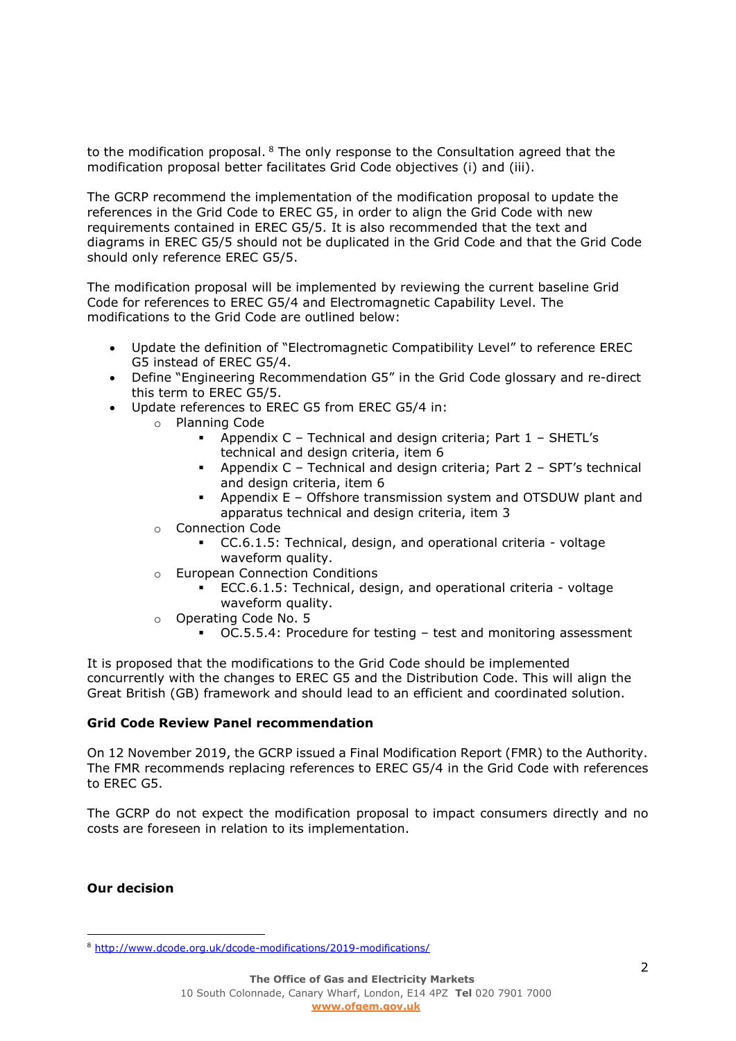to the modification proposal. <sup>8</sup> The only response to the Consultation agreed that the modification proposal better facilitates Grid Code objectives (i) and (iii).

The GCRP recommend the implementation of the modification proposal to update the references in the Grid Code to EREC G5, in order to align the Grid Code with new requirements contained in EREC G5/5. It is also recommended that the text and diagrams in EREC G5/5 should not be duplicated in the Grid Code and that the Grid Code should only reference EREC G5/5.

The modification proposal will be implemented by reviewing the current baseline Grid Code for references to EREC G5/4 and Electromagnetic Capability Level. The modifications to the Grid Code are outlined below:

- Update the definition of "Electromagnetic Compatibility Level" to reference EREC G5 instead of EREC G5/4.
- Define "Engineering Recommendation G5" in the Grid Code glossary and re-direct this term to EREC G5/5.
- Update references to EREC G5 from EREC G5/4 in:
	- o Planning Code
		- Appendix C Technical and design criteria; Part 1 SHETL's technical and design criteria, item 6
		- Appendix C Technical and design criteria; Part 2 SPT's technical and design criteria, item 6
		- Appendix E Offshore transmission system and OTSDUW plant and apparatus technical and design criteria, item 3
		- o Connection Code
			- CC.6.1.5: Technical, design, and operational criteria voltage waveform quality.
		- o European Connection Conditions
			- ECC.6.1.5: Technical, design, and operational criteria voltage waveform quality.
		- o Operating Code No. 5
			- OC.5.5.4: Procedure for testing test and monitoring assessment

It is proposed that the modifications to the Grid Code should be implemented concurrently with the changes to EREC G5 and the Distribution Code. This will align the Great British (GB) framework and should lead to an efficient and coordinated solution.

### **Grid Code Review Panel recommendation**

On 12 November 2019, the GCRP issued a Final Modification Report (FMR) to the Authority. The FMR recommends replacing references to EREC G5/4 in the Grid Code with references to EREC G5.

The GCRP do not expect the modification proposal to impact consumers directly and no costs are foreseen in relation to its implementation.

### **Our decision**

 $\overline{a}$ 

<sup>8</sup> <http://www.dcode.org.uk/dcode-modifications/2019-modifications/>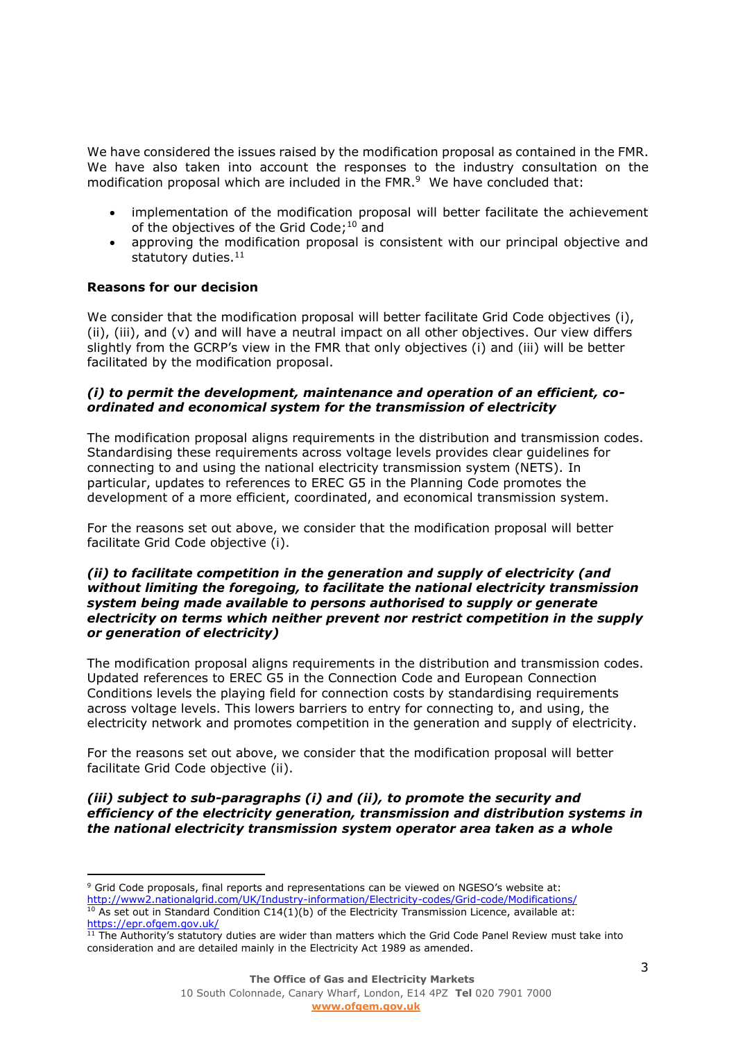We have considered the issues raised by the modification proposal as contained in the FMR. We have also taken into account the responses to the industry consultation on the modification proposal which are included in the FMR. 9 We have concluded that:

- implementation of the modification proposal will better facilitate the achievement of the objectives of the Grid Code; <sup>10</sup> and
- approving the modification proposal is consistent with our principal objective and statutory duties. 11

# **Reasons for our decision**

We consider that the modification proposal will better facilitate Grid Code objectives (i), (ii), (iii), and (v) and will have a neutral impact on all other objectives. Our view differs slightly from the GCRP's view in the FMR that only objectives (i) and (iii) will be better facilitated by the modification proposal.

# *(i) to permit the development, maintenance and operation of an efficient, coordinated and economical system for the transmission of electricity*

The modification proposal aligns requirements in the distribution and transmission codes. Standardising these requirements across voltage levels provides clear guidelines for connecting to and using the national electricity transmission system (NETS). In particular, updates to references to EREC G5 in the Planning Code promotes the development of a more efficient, coordinated, and economical transmission system.

For the reasons set out above, we consider that the modification proposal will better facilitate Grid Code objective (i).

### *(ii) to facilitate competition in the generation and supply of electricity (and without limiting the foregoing, to facilitate the national electricity transmission system being made available to persons authorised to supply or generate electricity on terms which neither prevent nor restrict competition in the supply or generation of electricity)*

The modification proposal aligns requirements in the distribution and transmission codes. Updated references to EREC G5 in the Connection Code and European Connection Conditions levels the playing field for connection costs by standardising requirements across voltage levels. This lowers barriers to entry for connecting to, and using, the electricity network and promotes competition in the generation and supply of electricity.

For the reasons set out above, we consider that the modification proposal will better facilitate Grid Code objective (ii).

*(iii) subject to sub-paragraphs (i) and (ii), to promote the security and efficiency of the electricity generation, transmission and distribution systems in the national electricity transmission system operator area taken as a whole*

 <sup>9</sup> Grid Code proposals, final reports and representations can be viewed on NGESO's website at: <http://www2.nationalgrid.com/UK/Industry-information/Electricity-codes/Grid-code/Modifications/>

 $10$  As set out in Standard Condition C14(1)(b) of the Electricity Transmission Licence, available at: <https://epr.ofgem.gov.uk/>

<sup>11</sup> The Authority's statutory duties are wider than matters which the Grid Code Panel Review must take into consideration and are detailed mainly in the Electricity Act 1989 as amended.